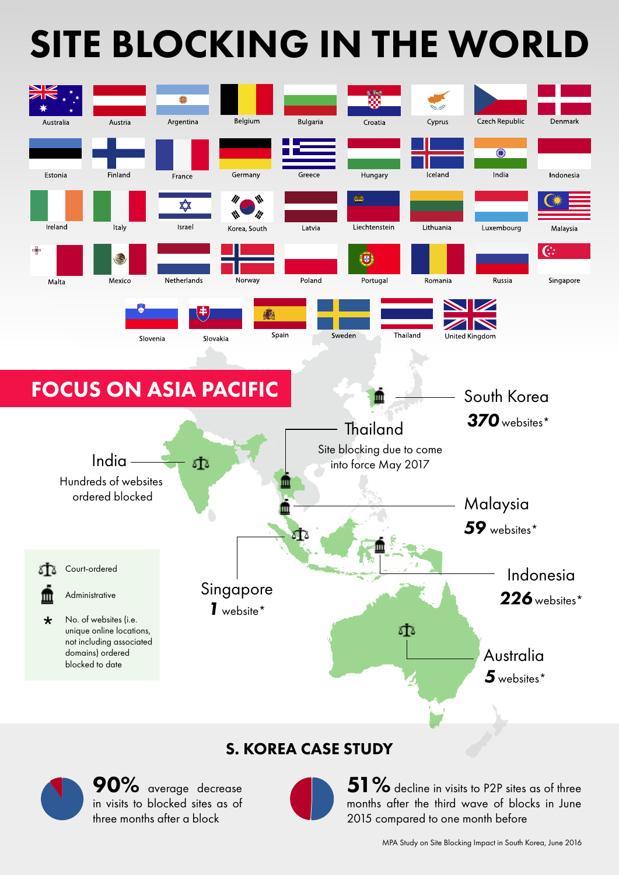# SITE BLOCKING IN THE WORLD



#### S. KOREA CASE STUDY



51  $\%$  decline in visits to P2P sites as of three months after the third wave of blocks in June 2015 compared to one month before